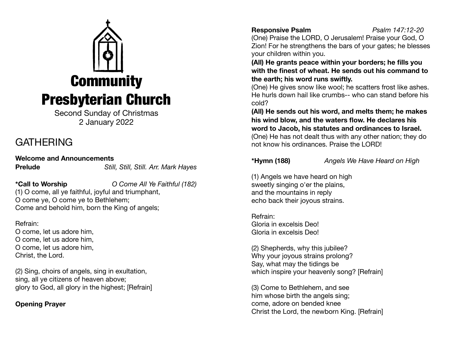

Second Sunday of Christmas 2 January 2022

# **GATHERING**

**Welcome and Announcements Prelude** *Still, Still, Still. Arr. Mark Hayes*

**\*Call to Worship** *O Come All Ye Faithful (182)*

(1) O come, all ye faithful, joyful and triumphant, O come ye, O come ye to Bethlehem; Come and behold him, born the King of angels;

Refrain: O come, let us adore him, O come, let us adore him, O come, let us adore him, Christ, the Lord.

(2) Sing, choirs of angels, sing in exultation, sing, all ye citizens of heaven above; glory to God, all glory in the highest; [Refrain]

## **Opening Prayer**

## **Responsive Psalm** *Psalm 147:12-20*

(One) Praise the LORD, O Jerusalem! Praise your God, O Zion! For he strengthens the bars of your gates; he blesses your children within you.

**(All) He grants peace within your borders; he fills you with the finest of wheat. He sends out his command to the earth; his word runs swiftly.**

(One) He gives snow like wool; he scatters frost like ashes. He hurls down hail like crumbs-- who can stand before his cold?

**(All) He sends out his word, and melts them; he makes his wind blow, and the waters flow. He declares his word to Jacob, his statutes and ordinances to Israel.** (One) He has not dealt thus with any other nation; they do not know his ordinances. Praise the LORD!

**\*Hymn (188)** *Angels We Have Heard on High*

(1) Angels we have heard on high sweetly singing o'er the plains, and the mountains in reply echo back their joyous strains.

Refrain: Gloria in excelsis Deo! Gloria in excelsis Deo!

(2) Shepherds, why this jubilee? Why your joyous strains prolong? Say, what may the tidings be which inspire your heavenly song? [Refrain]

(3) Come to Bethlehem, and see him whose birth the angels sing; come, adore on bended knee Christ the Lord, the newborn King. [Refrain]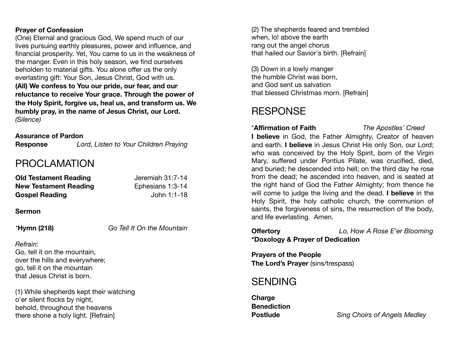## **Prayer of Confession**

(One) Eternal and gracious God, We spend much of our lives pursuing earthly pleasures, power and influence, and financial prosperity. Yet, You came to us in the weakness of the manger. Even in this holy season, we find ourselves beholden to material gifts. You alone offer us the only everlasting gift: Your Son, Jesus Christ, God with us. **(All) We confess to You our pride, our fear, and our reluctance to receive Your grace. Through the power of the Holy Spirit, forgive us, heal us, and transform us. We humbly pray, in the name of Jesus Christ, our Lord.**  *(Silence)* 

## **Assurance of Pardon**

**Response** *Lord, Listen to Your Children Praying* 

## PROCLAMATION

| <b>Old Testament Reading</b> | Jeremiah 31:7-14 |
|------------------------------|------------------|
| <b>New Testament Reading</b> | Ephesians 1:3-14 |
| <b>Gospel Reading</b>        | John 1:1-18      |

### **Sermon**

*\****Hymn (218)** *Go Tell It On the Mountain*

## *Refrain*:

Go, tell it on the mountain, over the hills and everywhere; go, tell it on the mountain that Jesus Christ is born.

(1) While shepherds kept their watching o'er silent flocks by night, behold, throughout the heavens there shone a holy light. [Refrain]

(2) The shepherds feared and trembled when, lo! above the earth rang out the angel chorus that hailed our Savior's birth. [Refrain]

(3) Down in a lowly manger the humble Christ was born, and God sent us salvation that blessed Christmas morn. [Refrain]

# **RESPONSE**

\***Affirmation of Faith** *The Apostles' Creed* 

**I believe** in God, the Father Almighty, Creator of heaven and earth. **I believe** in Jesus Christ His only Son, our Lord; who was conceived by the Holy Spirit, born of the Virgin Mary, suffered under Pontius Pilate, was crucified, died, and buried; he descended into hell; on the third day he rose from the dead; he ascended into heaven, and is seated at the right hand of God the Father Almighty; from thence he will come to judge the living and the dead. **I believe** in the Holy Spirit, the holy catholic church, the communion of saints, the forgiveness of sins, the resurrection of the body, and life everlasting. Amen.

**\*Doxology & Prayer of Dedication** 

**Offertory** *Lo, How A Rose E'er Blooming*

**Prayers of the People The Lord's Prayer** (sins/trespass)

## SENDING

**Charge Benediction** 

**Postlude** *Sing Choirs of Angels Medley*